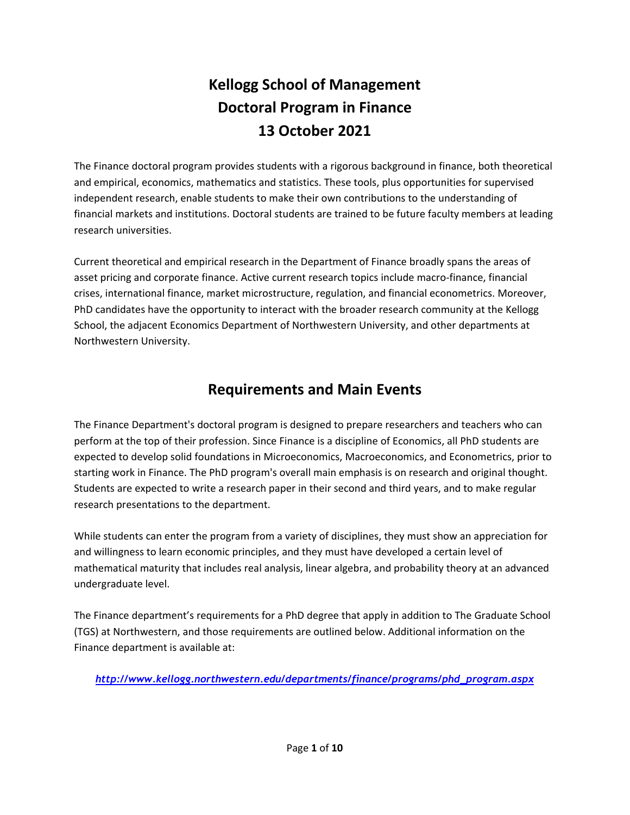# **Kellogg School of Management Doctoral Program in Finance 13 October 2021**

The Finance doctoral program provides students with a rigorous background in finance, both theoretical and empirical, economics, mathematics and statistics. These tools, plus opportunities for supervised independent research, enable students to make their own contributions to the understanding of financial markets and institutions. Doctoral students are trained to be future faculty members at leading research universities.

Current theoretical and empirical research in the Department of Finance broadly spans the areas of asset pricing and corporate finance. Active current research topics include macro‐finance, financial crises, international finance, market microstructure, regulation, and financial econometrics. Moreover, PhD candidates have the opportunity to interact with the broader research community at the Kellogg School, the adjacent Economics Department of Northwestern University, and other departments at Northwestern University.

# **Requirements and Main Events**

The Finance Department's doctoral program is designed to prepare researchers and teachers who can perform at the top of their profession. Since Finance is a discipline of Economics, all PhD students are expected to develop solid foundations in Microeconomics, Macroeconomics, and Econometrics, prior to starting work in Finance. The PhD program's overall main emphasis is on research and original thought. Students are expected to write a research paper in their second and third years, and to make regular research presentations to the department.

While students can enter the program from a variety of disciplines, they must show an appreciation for and willingness to learn economic principles, and they must have developed a certain level of mathematical maturity that includes real analysis, linear algebra, and probability theory at an advanced undergraduate level.

The Finance department's requirements for a PhD degree that apply in addition to The Graduate School (TGS) at Northwestern, and those requirements are outlined below. Additional information on the Finance department is available at:

*http://www.kellogg.northwestern.edu/departments/finance/programs/phd\_program.aspx*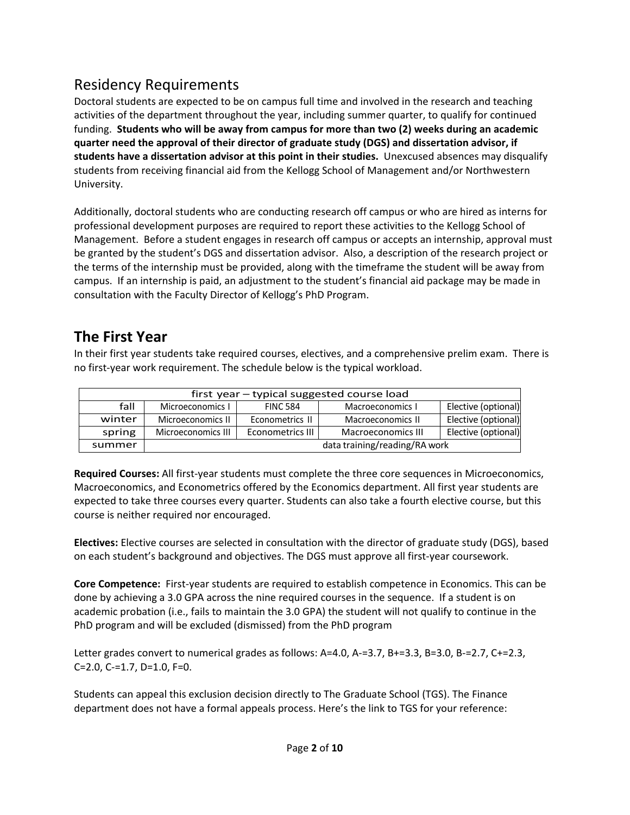# Residency Requirements

Doctoral students are expected to be on campus full time and involved in the research and teaching activities of the department throughout the year, including summer quarter, to qualify for continued funding. **Students who will be away from campus for more than two (2) weeks during an academic quarter need the approval of their director of graduate study (DGS) and dissertation advisor, if students have a dissertation advisor at this point in their studies.** Unexcused absences may disqualify students from receiving financial aid from the Kellogg School of Management and/or Northwestern University.

Additionally, doctoral students who are conducting research off campus or who are hired as interns for professional development purposes are required to report these activities to the Kellogg School of Management. Before a student engages in research off campus or accepts an internship, approval must be granted by the student's DGS and dissertation advisor. Also, a description of the research project or the terms of the internship must be provided, along with the timeframe the student will be away from campus. If an internship is paid, an adjustment to the student's financial aid package may be made in consultation with the Faculty Director of Kellogg's PhD Program.

### **The First Year**

In their first year students take required courses, electives, and a comprehensive prelim exam. There is no first‐year work requirement. The schedule below is the typical workload.

| first year – typical suggested course load |                               |                  |                    |                     |  |  |
|--------------------------------------------|-------------------------------|------------------|--------------------|---------------------|--|--|
| fall                                       | Microeconomics I              | <b>FINC 584</b>  | Macroeconomics I   | Elective (optional) |  |  |
| winter                                     | Microeconomics II             | Econometrics II  | Macroeconomics II  | Elective (optional) |  |  |
| spring                                     | Microeconomics III            | Econometrics III | Macroeconomics III | Elective (optional) |  |  |
| summer                                     | data training/reading/RA work |                  |                    |                     |  |  |

**Required Courses:** All first‐year students must complete the three core sequences in Microeconomics, Macroeconomics, and Econometrics offered by the Economics department. All first year students are expected to take three courses every quarter. Students can also take a fourth elective course, but this course is neither required nor encouraged.

**Electives:** Elective courses are selected in consultation with the director of graduate study (DGS), based on each student's background and objectives. The DGS must approve all first-year coursework.

**Core Competence:** First‐year students are required to establish competence in Economics. This can be done by achieving a 3.0 GPA across the nine required courses in the sequence. If a student is on academic probation (i.e., fails to maintain the 3.0 GPA) the student will not qualify to continue in the PhD program and will be excluded (dismissed) from the PhD program

Letter grades convert to numerical grades as follows: A=4.0, A‐=3.7, B+=3.3, B=3.0, B‐=2.7, C+=2.3, C=2.0, C‐=1.7, D=1.0, F=0.

Students can appeal this exclusion decision directly to The Graduate School (TGS). The Finance department does not have a formal appeals process. Here's the link to TGS for your reference: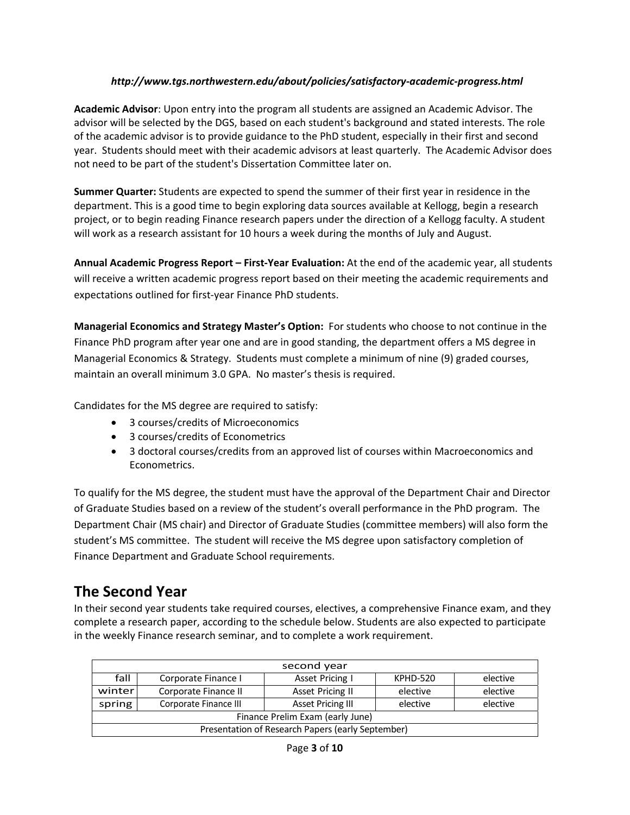#### *http://www.tgs.northwestern.edu/about/policies/satisfactory‐academic‐progress.html*

**Academic Advisor**: Upon entry into the program all students are assigned an Academic Advisor. The advisor will be selected by the DGS, based on each student's background and stated interests. The role of the academic advisor is to provide guidance to the PhD student, especially in their first and second year. Students should meet with their academic advisors at least quarterly. The Academic Advisor does not need to be part of the student's Dissertation Committee later on.

**Summer Quarter:** Students are expected to spend the summer of their first year in residence in the department. This is a good time to begin exploring data sources available at Kellogg, begin a research project, or to begin reading Finance research papers under the direction of a Kellogg faculty. A student will work as a research assistant for 10 hours a week during the months of July and August.

**Annual Academic Progress Report – First‐Year Evaluation:** At the end of the academic year, all students will receive a written academic progress report based on their meeting the academic requirements and expectations outlined for first‐year Finance PhD students.

**Managerial Economics and Strategy Master's Option:** For students who choose to not continue in the Finance PhD program after year one and are in good standing, the department offers a MS degree in Managerial Economics & Strategy. Students must complete a minimum of nine (9) graded courses, maintain an overall minimum 3.0 GPA. No master's thesis is required.

Candidates for the MS degree are required to satisfy:

- 3 courses/credits of Microeconomics
- 3 courses/credits of Econometrics
- 3 doctoral courses/credits from an approved list of courses within Macroeconomics and Econometrics.

To qualify for the MS degree, the student must have the approval of the Department Chair and Director of Graduate Studies based on a review of the student's overall performance in the PhD program. The Department Chair (MS chair) and Director of Graduate Studies (committee members) will also form the student's MS committee. The student will receive the MS degree upon satisfactory completion of Finance Department and Graduate School requirements.

### **The Second Year**

In their second year students take required courses, electives, a comprehensive Finance exam, and they complete a research paper, according to the schedule below. Students are also expected to participate in the weekly Finance research seminar, and to complete a work requirement.

| second year                                       |                       |                          |          |          |  |  |  |
|---------------------------------------------------|-----------------------|--------------------------|----------|----------|--|--|--|
| fall                                              | Corporate Finance I   | Asset Pricing I          | KPHD-520 | elective |  |  |  |
| winterl                                           | Corporate Finance II  | <b>Asset Pricing II</b>  | elective | elective |  |  |  |
| spring                                            | Corporate Finance III | <b>Asset Pricing III</b> | elective | elective |  |  |  |
| Finance Prelim Exam (early June)                  |                       |                          |          |          |  |  |  |
| Presentation of Research Papers (early September) |                       |                          |          |          |  |  |  |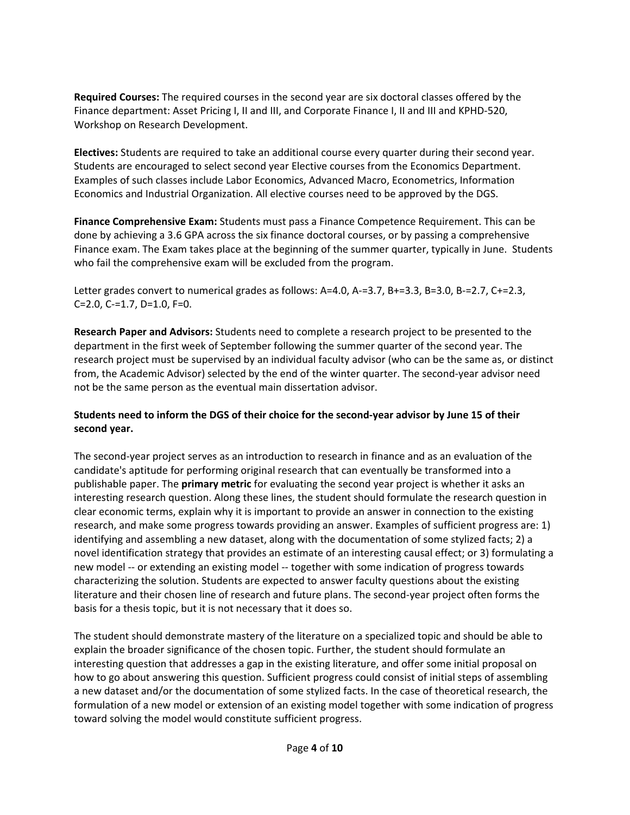**Required Courses:** The required courses in the second year are six doctoral classes offered by the Finance department: Asset Pricing I, II and III, and Corporate Finance I, II and III and KPHD‐520, Workshop on Research Development.

**Electives:** Students are required to take an additional course every quarter during their second year. Students are encouraged to select second year Elective courses from the Economics Department. Examples of such classes include Labor Economics, Advanced Macro, Econometrics, Information Economics and Industrial Organization. All elective courses need to be approved by the DGS.

**Finance Comprehensive Exam:** Students must pass a Finance Competence Requirement. This can be done by achieving a 3.6 GPA across the six finance doctoral courses, or by passing a comprehensive Finance exam. The Exam takes place at the beginning of the summer quarter, typically in June. Students who fail the comprehensive exam will be excluded from the program.

Letter grades convert to numerical grades as follows: A=4.0, A‐=3.7, B+=3.3, B=3.0, B‐=2.7, C+=2.3, C=2.0, C‐=1.7, D=1.0, F=0.

**Research Paper and Advisors:** Students need to complete a research project to be presented to the department in the first week of September following the summer quarter of the second year. The research project must be supervised by an individual faculty advisor (who can be the same as, or distinct from, the Academic Advisor) selected by the end of the winter quarter. The second‐year advisor need not be the same person as the eventual main dissertation advisor.

#### Students need to inform the DGS of their choice for the second-year advisor by June 15 of their **second year.**

The second‐year project serves as an introduction to research in finance and as an evaluation of the candidate's aptitude for performing original research that can eventually be transformed into a publishable paper. The **primary metric** for evaluating the second year project is whether it asks an interesting research question. Along these lines, the student should formulate the research question in clear economic terms, explain why it is important to provide an answer in connection to the existing research, and make some progress towards providing an answer. Examples of sufficient progress are: 1) identifying and assembling a new dataset, along with the documentation of some stylized facts; 2) a novel identification strategy that provides an estimate of an interesting causal effect; or 3) formulating a new model ‐‐ or extending an existing model ‐‐ together with some indication of progress towards characterizing the solution. Students are expected to answer faculty questions about the existing literature and their chosen line of research and future plans. The second-year project often forms the basis for a thesis topic, but it is not necessary that it does so.

The student should demonstrate mastery of the literature on a specialized topic and should be able to explain the broader significance of the chosen topic. Further, the student should formulate an interesting question that addresses a gap in the existing literature, and offer some initial proposal on how to go about answering this question. Sufficient progress could consist of initial steps of assembling a new dataset and/or the documentation of some stylized facts. In the case of theoretical research, the formulation of a new model or extension of an existing model together with some indication of progress toward solving the model would constitute sufficient progress.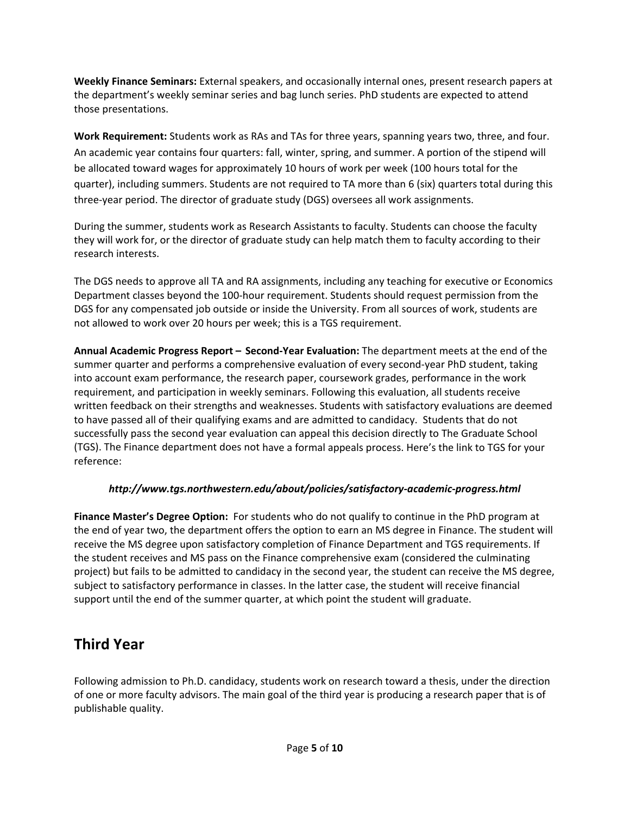**Weekly Finance Seminars:** External speakers, and occasionally internal ones, present research papers at the department's weekly seminar series and bag lunch series. PhD students are expected to attend those presentations.

**Work Requirement:** Students work as RAs and TAs for three years, spanning years two, three, and four. An academic year contains four quarters: fall, winter, spring, and summer. A portion of the stipend will be allocated toward wages for approximately 10 hours of work per week (100 hours total for the quarter), including summers. Students are not required to TA more than 6 (six) quarters total during this three‐year period. The director of graduate study (DGS) oversees all work assignments.

During the summer, students work as Research Assistants to faculty. Students can choose the faculty they will work for, or the director of graduate study can help match them to faculty according to their research interests.

The DGS needs to approve all TA and RA assignments, including any teaching for executive or Economics Department classes beyond the 100‐hour requirement. Students should request permission from the DGS for any compensated job outside or inside the University. From all sources of work, students are not allowed to work over 20 hours per week; this is a TGS requirement.

**Annual Academic Progress Report – Second‐Year Evaluation:** The department meets at the end of the summer quarter and performs a comprehensive evaluation of every second‐year PhD student, taking into account exam performance, the research paper, coursework grades, performance in the work requirement, and participation in weekly seminars. Following this evaluation, all students receive written feedback on their strengths and weaknesses. Students with satisfactory evaluations are deemed to have passed all of their qualifying exams and are admitted to candidacy. Students that do not successfully pass the second year evaluation can appeal this decision directly to The Graduate School (TGS). The Finance department does not have a formal appeals process. Here's the link to TGS for your reference:

### *http://www.tgs.northwestern.edu/about/policies/satisfactory‐academic‐progress.html*

**Finance Master's Degree Option:** For students who do not qualify to continue in the PhD program at the end of year two, the department offers the option to earn an MS degree in Finance. The student will receive the MS degree upon satisfactory completion of Finance Department and TGS requirements. If the student receives and MS pass on the Finance comprehensive exam (considered the culminating project) but fails to be admitted to candidacy in the second year, the student can receive the MS degree, subject to satisfactory performance in classes. In the latter case, the student will receive financial support until the end of the summer quarter, at which point the student will graduate.

# **Third Year**

Following admission to Ph.D. candidacy, students work on research toward a thesis, under the direction of one or more faculty advisors. The main goal of the third year is producing a research paper that is of publishable quality.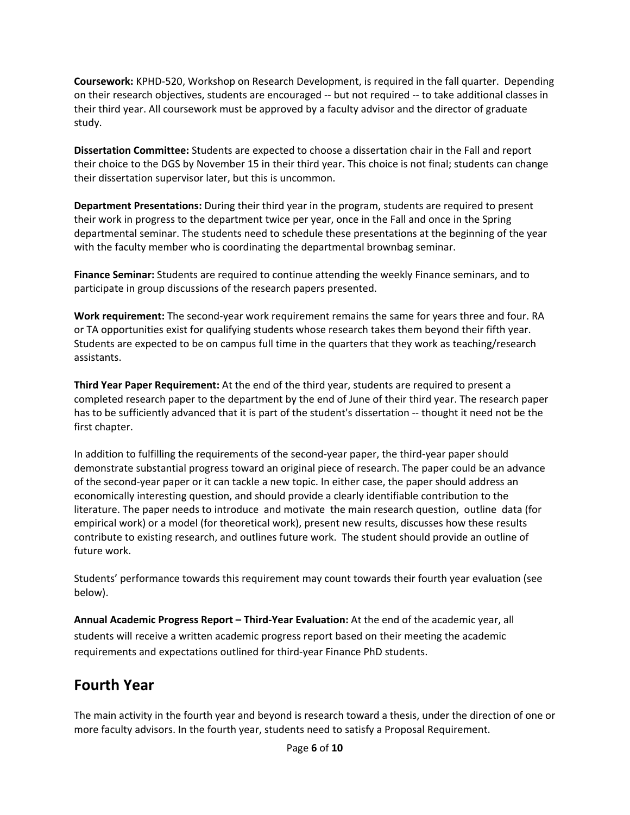**Coursework:** KPHD‐520, Workshop on Research Development, is required in the fall quarter. Depending on their research objectives, students are encouraged ‐‐ but not required ‐‐ to take additional classes in their third year. All coursework must be approved by a faculty advisor and the director of graduate study.

**Dissertation Committee:** Students are expected to choose a dissertation chair in the Fall and report their choice to the DGS by November 15 in their third year. This choice is not final; students can change their dissertation supervisor later, but this is uncommon.

**Department Presentations:** During their third year in the program, students are required to present their work in progress to the department twice per year, once in the Fall and once in the Spring departmental seminar. The students need to schedule these presentations at the beginning of the year with the faculty member who is coordinating the departmental brownbag seminar.

**Finance Seminar:** Students are required to continue attending the weekly Finance seminars, and to participate in group discussions of the research papers presented.

**Work requirement:** The second‐year work requirement remains the same for years three and four. RA or TA opportunities exist for qualifying students whose research takes them beyond their fifth year. Students are expected to be on campus full time in the quarters that they work as teaching/research assistants.

**Third Year Paper Requirement:** At the end of the third year, students are required to present a completed research paper to the department by the end of June of their third year. The research paper has to be sufficiently advanced that it is part of the student's dissertation -- thought it need not be the first chapter.

In addition to fulfilling the requirements of the second‐year paper, the third‐year paper should demonstrate substantial progress toward an original piece of research. The paper could be an advance of the second‐year paper or it can tackle a new topic. In either case, the paper should address an economically interesting question, and should provide a clearly identifiable contribution to the literature. The paper needs to introduce and motivate the main research question, outline data (for empirical work) or a model (for theoretical work), present new results, discusses how these results contribute to existing research, and outlines future work. The student should provide an outline of future work.

Students' performance towards this requirement may count towards their fourth year evaluation (see below).

**Annual Academic Progress Report – Third‐Year Evaluation:** At the end of the academic year, all students will receive a written academic progress report based on their meeting the academic requirements and expectations outlined for third‐year Finance PhD students.

### **Fourth Year**

The main activity in the fourth year and beyond is research toward a thesis, under the direction of one or more faculty advisors. In the fourth year, students need to satisfy a Proposal Requirement.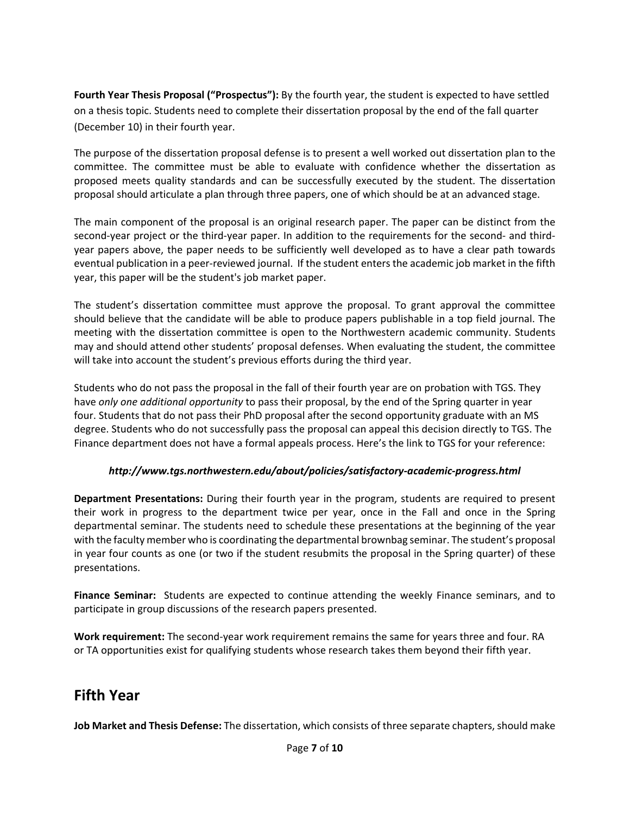**Fourth Year Thesis Proposal ("Prospectus"):** By the fourth year, the student is expected to have settled on a thesis topic. Students need to complete their dissertation proposal by the end of the fall quarter (December 10) in their fourth year.

The purpose of the dissertation proposal defense is to present a well worked out dissertation plan to the committee. The committee must be able to evaluate with confidence whether the dissertation as proposed meets quality standards and can be successfully executed by the student. The dissertation proposal should articulate a plan through three papers, one of which should be at an advanced stage.

The main component of the proposal is an original research paper. The paper can be distinct from the second-year project or the third-year paper. In addition to the requirements for the second- and thirdyear papers above, the paper needs to be sufficiently well developed as to have a clear path towards eventual publication in a peer‐reviewed journal. If the student entersthe academic job market in the fifth year, this paper will be the student's job market paper.

The student's dissertation committee must approve the proposal. To grant approval the committee should believe that the candidate will be able to produce papers publishable in a top field journal. The meeting with the dissertation committee is open to the Northwestern academic community. Students may and should attend other students' proposal defenses. When evaluating the student, the committee will take into account the student's previous efforts during the third year.

Students who do not pass the proposal in the fall of their fourth year are on probation with TGS. They have *only one additional opportunity* to pass their proposal, by the end of the Spring quarter in year four. Students that do not pass their PhD proposal after the second opportunity graduate with an MS degree. Students who do not successfully pass the proposal can appeal this decision directly to TGS. The Finance department does not have a formal appeals process. Here's the link to TGS for your reference:

#### *http://www.tgs.northwestern.edu/about/policies/satisfactory‐academic‐progress.html*

**Department Presentations:** During their fourth year in the program, students are required to present their work in progress to the department twice per year, once in the Fall and once in the Spring departmental seminar. The students need to schedule these presentations at the beginning of the year with the faculty member who is coordinating the departmental brownbag seminar. The student's proposal in year four counts as one (or two if the student resubmits the proposal in the Spring quarter) of these presentations.

**Finance Seminar:** Students are expected to continue attending the weekly Finance seminars, and to participate in group discussions of the research papers presented.

**Work requirement:** The second‐year work requirement remains the same for years three and four. RA or TA opportunities exist for qualifying students whose research takes them beyond their fifth year.

### **Fifth Year**

**Job Market and Thesis Defense:** The dissertation, which consists of three separate chapters, should make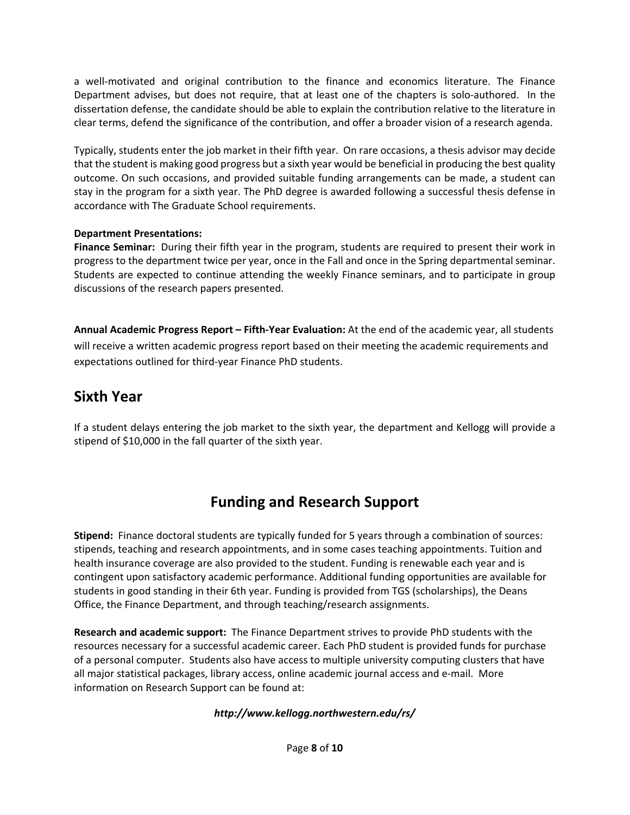a well-motivated and original contribution to the finance and economics literature. The Finance Department advises, but does not require, that at least one of the chapters is solo-authored. In the dissertation defense, the candidate should be able to explain the contribution relative to the literature in clear terms, defend the significance of the contribution, and offer a broader vision of a research agenda.

Typically, students enter the job market in their fifth year. On rare occasions, a thesis advisor may decide that the student is making good progress but a sixth year would be beneficial in producing the best quality outcome. On such occasions, and provided suitable funding arrangements can be made, a student can stay in the program for a sixth year. The PhD degree is awarded following a successful thesis defense in accordance with The Graduate School requirements.

#### **Department Presentations:**

**Finance Seminar:** During their fifth year in the program, students are required to present their work in progress to the department twice per year, once in the Fall and once in the Spring departmental seminar. Students are expected to continue attending the weekly Finance seminars, and to participate in group discussions of the research papers presented.

**Annual Academic Progress Report – Fifth‐Year Evaluation:** At the end of the academic year, all students will receive a written academic progress report based on their meeting the academic requirements and expectations outlined for third‐year Finance PhD students.

### **Sixth Year**

If a student delays entering the job market to the sixth year, the department and Kellogg will provide a stipend of \$10,000 in the fall quarter of the sixth year.

# **Funding and Research Support**

**Stipend:** Finance doctoral students are typically funded for 5 years through a combination of sources: stipends, teaching and research appointments, and in some cases teaching appointments. Tuition and health insurance coverage are also provided to the student. Funding is renewable each year and is contingent upon satisfactory academic performance. Additional funding opportunities are available for students in good standing in their 6th year. Funding is provided from TGS (scholarships), the Deans Office, the Finance Department, and through teaching/research assignments.

**Research and academic support:** The Finance Department strives to provide PhD students with the resources necessary for a successful academic career. Each PhD student is provided funds for purchase of a personal computer. Students also have access to multiple university computing clusters that have all major statistical packages, library access, online academic journal access and e‐mail. More information on Research Support can be found at:

#### *http://www.kellogg.northwestern.edu/rs/*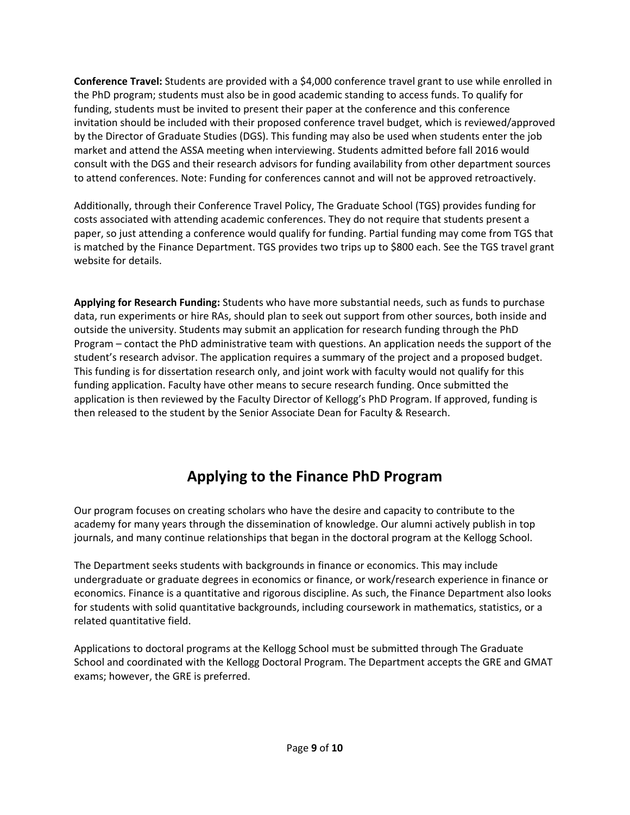**Conference Travel:** Students are provided with a \$4,000 conference travel grant to use while enrolled in the PhD program; students must also be in good academic standing to access funds. To qualify for funding, students must be invited to present their paper at the conference and this conference invitation should be included with their proposed conference travel budget, which is reviewed/approved by the Director of Graduate Studies (DGS). This funding may also be used when students enter the job market and attend the ASSA meeting when interviewing. Students admitted before fall 2016 would consult with the DGS and their research advisors for funding availability from other department sources to attend conferences. Note: Funding for conferences cannot and will not be approved retroactively.

Additionally, through their Conference Travel Policy, The Graduate School (TGS) provides funding for costs associated with attending academic conferences. They do not require that students present a paper, so just attending a conference would qualify for funding. Partial funding may come from TGS that is matched by the Finance Department. TGS provides two trips up to \$800 each. See the TGS travel grant website for details.

**Applying for Research Funding:** Students who have more substantial needs, such as funds to purchase data, run experiments or hire RAs, should plan to seek out support from other sources, both inside and outside the university. Students may submit an application for research funding through the PhD Program – contact the PhD administrative team with questions. An application needs the support of the student's research advisor. The application requires a summary of the project and a proposed budget. This funding is for dissertation research only, and joint work with faculty would not qualify for this funding application. Faculty have other means to secure research funding. Once submitted the application is then reviewed by the Faculty Director of Kellogg's PhD Program. If approved, funding is then released to the student by the Senior Associate Dean for Faculty & Research.

# **Applying to the Finance PhD Program**

Our program focuses on creating scholars who have the desire and capacity to contribute to the academy for many years through the dissemination of knowledge. Our alumni actively publish in top journals, and many continue relationships that began in the doctoral program at the Kellogg School.

The Department seeks students with backgrounds in finance or economics. This may include undergraduate or graduate degrees in economics or finance, or work/research experience in finance or economics. Finance is a quantitative and rigorous discipline. As such, the Finance Department also looks for students with solid quantitative backgrounds, including coursework in mathematics, statistics, or a related quantitative field.

Applications to doctoral programs at the Kellogg School must be submitted through The Graduate School and coordinated with the Kellogg Doctoral Program. The Department accepts the GRE and GMAT exams; however, the GRE is preferred.